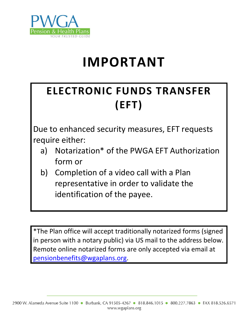

# **IMPORTANT**

# **ELECTRONIC FUNDS TRANSFER (EFT)**

Due to enhanced security measures, EFT requests require either:

- a) Notarization\* of the PWGA EFT Authorization form or
- b) Completion of a video call with a Plan representative in order to validate the identification of the payee.

\*The Plan office will accept traditionally notarized forms (signed in person with a notary public) via US mail to the address below. Remote online notarized forms are only accepted via email at [pensionbenefits@wgaplans.org.](mailto:pensionbenefits@wgaplans.org)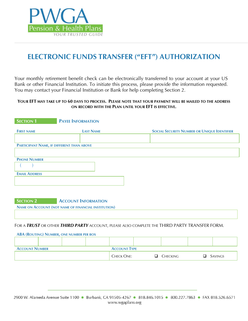

## **ELECTRONIC FUNDS TRANSFER ("EFT") AUTHORIZATION**

Your monthly retirement benefit check can be electronically transferred to your account at your US Bank or other Financial Institution. To initiate this process, please provide the information requested. You may contact your Financial Institution or Bank for help completing Section 2.

#### **YOUR EFT MAY TAKE UP TO 60 DAYS TO PROCESS. PLEASE NOTE THAT YOUR PAYMENT WILL BE MAILED TO THE ADDRESS ON RECORD WITH THE PLAN UNTIL YOUR EFT IS EFFECTIVE.**

| <b>SECTION 1</b>     | <b>PAYEE INFORMATION</b>                  |                                                    |
|----------------------|-------------------------------------------|----------------------------------------------------|
| <b>FIRST NAME</b>    | <b>LAST NAME</b>                          | <b>SOCIAL SECURITY NUMBER OR UNIQUE IDENTIFIER</b> |
|                      |                                           |                                                    |
|                      | PARTICIPANT NAME, IF DIFFERENT THAN ABOVE |                                                    |
|                      |                                           |                                                    |
| <b>PHONE NUMBER</b>  |                                           |                                                    |
|                      |                                           |                                                    |
| <b>EMAIL ADDRESS</b> |                                           |                                                    |
|                      |                                           |                                                    |
|                      |                                           |                                                    |

**SECTION 2 ACCOUNT INFORMATION** 

**NAME ON ACCOUNT (NOT NAME OF FINANCIAL INSTITUTION)**

FOR A *TRUST* OR OTHER *THIRD PARTY* ACCOUNT, PLEASE ALSO COMPLETE THE THIRD PARTY TRANSFER FORM.

| <b>ABA (ROUTING) NUMBER, ONE NUMBER PER BOX</b> |  |  |                     |   |          |         |
|-------------------------------------------------|--|--|---------------------|---|----------|---------|
|                                                 |  |  |                     |   |          |         |
|                                                 |  |  |                     |   |          |         |
| <b>ACCOUNT NUMBER</b>                           |  |  | <b>ACCOUNT TYPE</b> |   |          |         |
|                                                 |  |  | CHECK ONE:          | ப | Checking | Savings |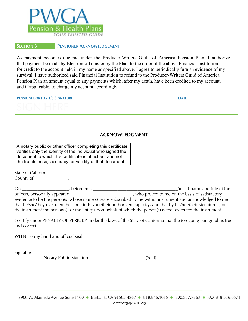

#### **SECTION 3 PENSIONER ACKNOWLEDGEMENT**

As payment becomes due me under the Producer-Writers Guild of America Pension Plan, I authorize that payment be made by Electronic Transfer by the Plan, to the order of the above Financial Institution for credit to the account held in my name as specified above. I agree to periodically furnish evidence of my survival. I have authorized said Financial Institution to refund to the Producer-Writers Guild of America Pension Plan an amount equal to any payments which, after my death, have been credited to my account, and if applicable, to charge my account accordingly.

| PENSIONER OR PAYEE'S SIGNATURE | <b>DATE</b> |
|--------------------------------|-------------|
|                                |             |

#### **ACKNOWLEDGMENT**

A notary public or other officer completing this certificate verifies only the identity of the individual who signed the document to which this certificate is attached, and not the truthfulness, accuracy, or validity of that document.

State of California County of \_\_\_\_\_\_\_\_\_\_\_\_\_\_\_)

On \_\_\_\_\_\_\_\_\_\_\_\_\_\_\_\_\_\_\_\_\_, before me, \_\_\_\_\_\_\_\_\_\_\_\_\_\_\_\_\_\_\_\_\_\_\_\_\_\_\_\_\_\_\_\_\_\_\_\_\_\_(insert name and title of the officer), personally appeared \_\_\_\_\_\_\_\_\_\_\_\_\_\_\_\_\_\_\_\_\_\_\_\_\_\_\_\_, who proved to me on the basis of satisfactory evidence to be the person(s) whose name(s) is/are subscribed to the within instrument and acknowledged to me that he/she/they executed the same in his/her/their authorized capacity, and that by his/her/their signature(s) on the instrument the person(s), or the entity upon behalf of which the person(s) acted, executed the instrument.

I certify under PENALTY OF PERJURY under the laws of the State of California that the foregoing paragraph is true and correct.

WITNESS my hand and official seal.

Signature

Notary Public Signature (Seal)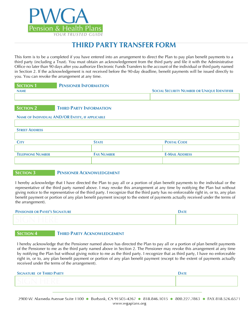

## **THIRD PARTY TRANSFER FORM**

This form is to be a completed if you have entered into an arrangement to direct the Plan to pay plan benefit payments to a third party (including a Trust). You must obtain an acknowledgement from the third party and file it with the Administrative Office no later than 90 days after you authorize Electronic Funds Transfers to the account of the individual or third party named in Section 2. If the acknowledgement is not received before the 90-day deadline, benefit payments will be issued directly to you. You can revoke the arrangement at any time.

| <b>SECTION 1</b> | <b>PENSIONER INFORMATION</b> |                                                    |
|------------------|------------------------------|----------------------------------------------------|
| <b>NAME</b>      |                              | <b>SOCIAL SECURITY NUMBER OR UNIQUE IDENTIFIER</b> |
|                  |                              |                                                    |
|                  |                              |                                                    |

#### **SECTION 2 THIRD PARTY INFORMATION**

#### **NAME OF INDIVIDUAL AND/OR ENTITY, IF APPLICABLE**

#### **STREET ADDRESS**

| Сіту                    | <b>STATE</b>      | <b>POSTAL CODE</b>    |
|-------------------------|-------------------|-----------------------|
|                         |                   |                       |
| <b>TELEPHONE NUMBER</b> | <b>FAX NUMBER</b> | <b>E-MAIL ADDRESS</b> |
|                         |                   |                       |

#### **SECTION 3 PENSIONER ACKNOWLEDGEMENT**

I hereby acknowledge that I have directed the Plan to pay all or a portion of plan benefit payments to the individual or the representative of the third party named above. I may revoke this arrangement at any time by notifying the Plan but without giving notice to the representative of the third party. I recognize that the third party has no enforceable right in, or to, any plan benefit payment or portion of any plan benefit payment (except to the extent of payments actually received under the terms of the arrangement).

| PENSIONER OR PAYEE'S SIGNATURE | <b>DATE</b> |
|--------------------------------|-------------|
|                                |             |

#### **SECTION 4 THIRD PARTY ACKNOWLEDGEMENT**

I hereby acknowledge that the Pensioner named above has directed the Plan to pay all or a portion of plan benefit payments of the Pensioner to me as the third party named above in Section 2. The Pensioner may revoke this arrangement at any time by notifying the Plan but without giving notice to me as the third party. I recognize that as third party, I have no enforceable right in, or to, any plan benefit payment or portion of any plan benefit payment (except to the extent of payments actually received under the terms of the arrangement).

| <b>SIGNATURE OF THIRD PARTY</b> | <b>DATE</b> |
|---------------------------------|-------------|
|                                 |             |